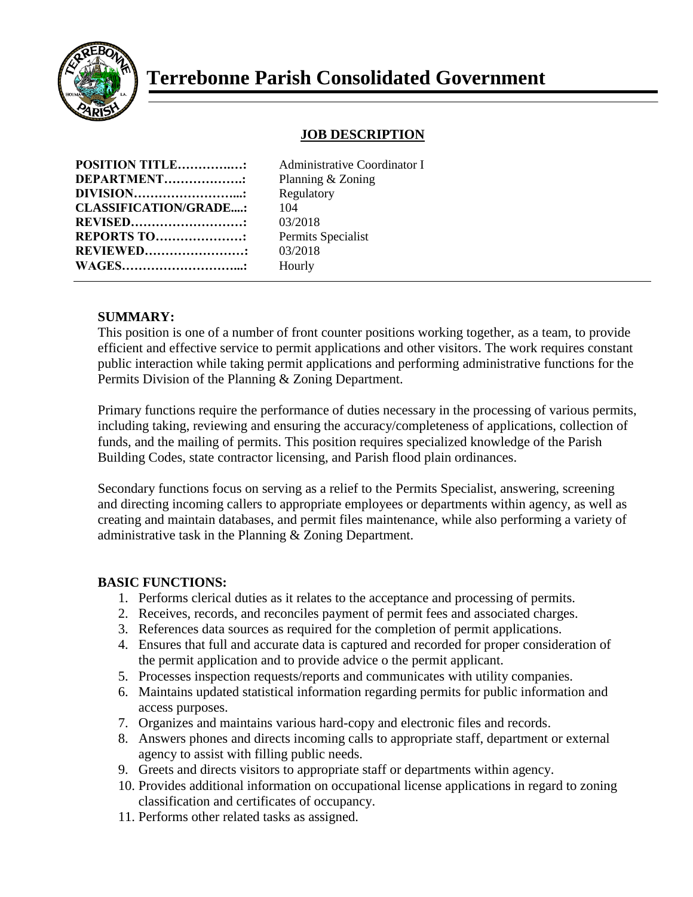

# **Terrebonne Parish Consolidated Government**

## **JOB DESCRIPTION**

| <b>POSITION TITLE:</b>       | Adn  |
|------------------------------|------|
| <b>DEPARTMENT:</b>           | Plan |
| <b>DIVISION</b> :            | Reg  |
| <b>CLASSIFICATION/GRADE:</b> | 104  |
| <b>REVISED</b>               | 03/2 |
| <b>REPORTS TO:</b>           | Pern |
| <b>REVIEWED</b>              | 03/2 |
| <b>WAGES</b> .               | Hou  |
|                              |      |

Administrative Coordinator I **Planning & Zoning Regulatory REVISED………………………:** 03/2018 Permits Specialist **REVIEWED……………………:** 03/2018 **Hourly** 

## **SUMMARY:**

This position is one of a number of front counter positions working together, as a team, to provide efficient and effective service to permit applications and other visitors. The work requires constant public interaction while taking permit applications and performing administrative functions for the Permits Division of the Planning & Zoning Department.

Primary functions require the performance of duties necessary in the processing of various permits, including taking, reviewing and ensuring the accuracy/completeness of applications, collection of funds, and the mailing of permits. This position requires specialized knowledge of the Parish Building Codes, state contractor licensing, and Parish flood plain ordinances.

Secondary functions focus on serving as a relief to the Permits Specialist, answering, screening and directing incoming callers to appropriate employees or departments within agency, as well as creating and maintain databases, and permit files maintenance, while also performing a variety of administrative task in the Planning & Zoning Department.

#### **BASIC FUNCTIONS:**

- 1. Performs clerical duties as it relates to the acceptance and processing of permits.
- 2. Receives, records, and reconciles payment of permit fees and associated charges.
- 3. References data sources as required for the completion of permit applications.
- 4. Ensures that full and accurate data is captured and recorded for proper consideration of the permit application and to provide advice o the permit applicant.
- 5. Processes inspection requests/reports and communicates with utility companies.
- 6. Maintains updated statistical information regarding permits for public information and access purposes.
- 7. Organizes and maintains various hard-copy and electronic files and records.
- 8. Answers phones and directs incoming calls to appropriate staff, department or external agency to assist with filling public needs.
- 9. Greets and directs visitors to appropriate staff or departments within agency.
- 10. Provides additional information on occupational license applications in regard to zoning classification and certificates of occupancy.
- 11. Performs other related tasks as assigned.